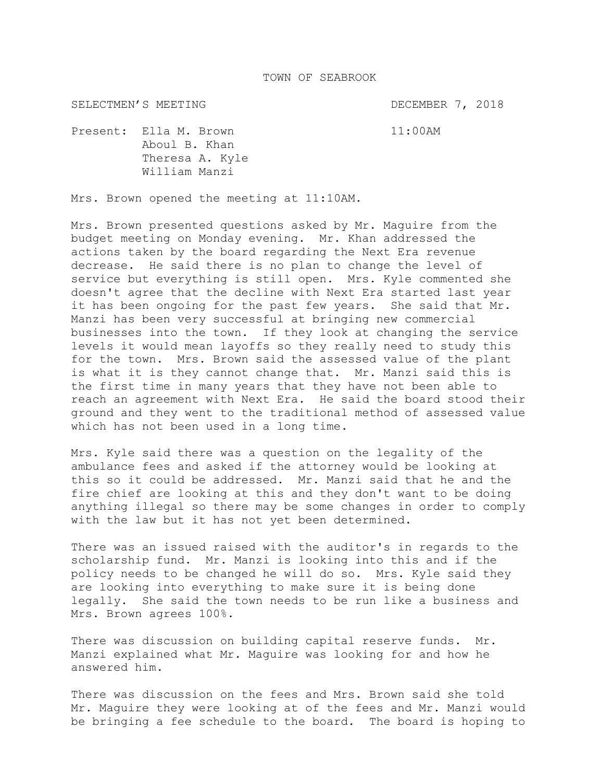SELECTMEN'S MEETING DECEMBER 7, 2018

Present: Ella M. Brown 11:00AM Aboul B. Khan Theresa A. Kyle William Manzi

Mrs. Brown opened the meeting at 11:10AM.

Mrs. Brown presented questions asked by Mr. Maguire from the budget meeting on Monday evening. Mr. Khan addressed the actions taken by the board regarding the Next Era revenue decrease. He said there is no plan to change the level of service but everything is still open. Mrs. Kyle commented she doesn't agree that the decline with Next Era started last year it has been ongoing for the past few years. She said that Mr. Manzi has been very successful at bringing new commercial businesses into the town. If they look at changing the service levels it would mean layoffs so they really need to study this for the town. Mrs. Brown said the assessed value of the plant is what it is they cannot change that. Mr. Manzi said this is the first time in many years that they have not been able to reach an agreement with Next Era. He said the board stood their ground and they went to the traditional method of assessed value which has not been used in a long time.

Mrs. Kyle said there was a question on the legality of the ambulance fees and asked if the attorney would be looking at this so it could be addressed. Mr. Manzi said that he and the fire chief are looking at this and they don't want to be doing anything illegal so there may be some changes in order to comply with the law but it has not yet been determined.

There was an issued raised with the auditor's in regards to the scholarship fund. Mr. Manzi is looking into this and if the policy needs to be changed he will do so. Mrs. Kyle said they are looking into everything to make sure it is being done legally. She said the town needs to be run like a business and Mrs. Brown agrees 100%.

There was discussion on building capital reserve funds. Mr. Manzi explained what Mr. Maguire was looking for and how he answered him.

There was discussion on the fees and Mrs. Brown said she told Mr. Maguire they were looking at of the fees and Mr. Manzi would be bringing a fee schedule to the board. The board is hoping to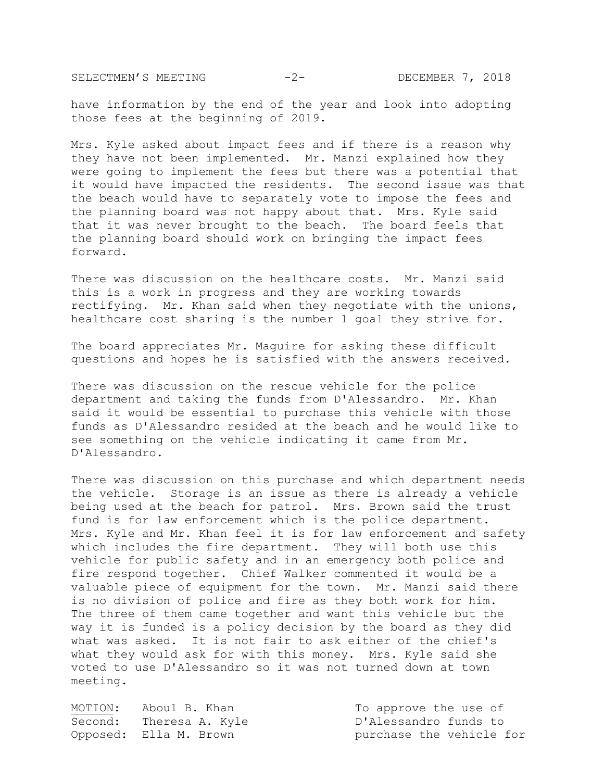SELECTMEN'S MEETING -2- DECEMBER 7, 2018

have information by the end of the year and look into adopting those fees at the beginning of 2019.

Mrs. Kyle asked about impact fees and if there is a reason why they have not been implemented. Mr. Manzi explained how they were going to implement the fees but there was a potential that it would have impacted the residents. The second issue was that the beach would have to separately vote to impose the fees and the planning board was not happy about that. Mrs. Kyle said that it was never brought to the beach. The board feels that the planning board should work on bringing the impact fees forward.

There was discussion on the healthcare costs. Mr. Manzi said this is a work in progress and they are working towards rectifying. Mr. Khan said when they negotiate with the unions, healthcare cost sharing is the number 1 goal they strive for.

The board appreciates Mr. Maguire for asking these difficult questions and hopes he is satisfied with the answers received.

There was discussion on the rescue vehicle for the police department and taking the funds from D'Alessandro. Mr. Khan said it would be essential to purchase this vehicle with those funds as D'Alessandro resided at the beach and he would like to see something on the vehicle indicating it came from Mr. D'Alessandro.

There was discussion on this purchase and which department needs the vehicle. Storage is an issue as there is already a vehicle being used at the beach for patrol. Mrs. Brown said the trust fund is for law enforcement which is the police department. Mrs. Kyle and Mr. Khan feel it is for law enforcement and safety which includes the fire department. They will both use this vehicle for public safety and in an emergency both police and fire respond together. Chief Walker commented it would be a valuable piece of equipment for the town. Mr. Manzi said there is no division of police and fire as they both work for him. The three of them came together and want this vehicle but the way it is funded is a policy decision by the board as they did what was asked. It is not fair to ask either of the chief's what they would ask for with this money. Mrs. Kyle said she voted to use D'Alessandro so it was not turned down at town meeting.

MOTION: Aboul B. Khan To approve the use of Second: Theresa A. Kyle D'Alessandro funds to Opposed: Ella M. Brown purchase the vehicle for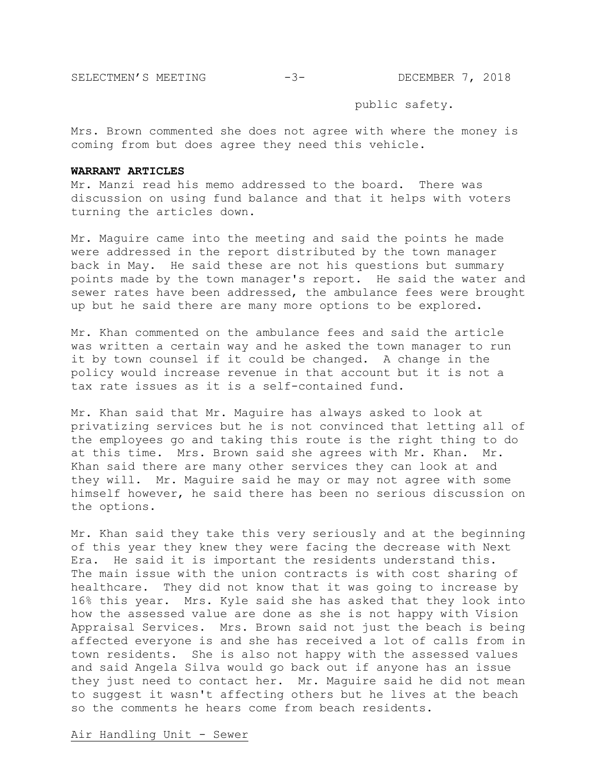SELECTMEN'S MEETING -3- DECEMBER 7, 2018

public safety.

Mrs. Brown commented she does not agree with where the money is coming from but does agree they need this vehicle.

## **WARRANT ARTICLES**

Mr. Manzi read his memo addressed to the board. There was discussion on using fund balance and that it helps with voters turning the articles down.

Mr. Maguire came into the meeting and said the points he made were addressed in the report distributed by the town manager back in May. He said these are not his questions but summary points made by the town manager's report. He said the water and sewer rates have been addressed, the ambulance fees were brought up but he said there are many more options to be explored.

Mr. Khan commented on the ambulance fees and said the article was written a certain way and he asked the town manager to run it by town counsel if it could be changed. A change in the policy would increase revenue in that account but it is not a tax rate issues as it is a self-contained fund.

Mr. Khan said that Mr. Maguire has always asked to look at privatizing services but he is not convinced that letting all of the employees go and taking this route is the right thing to do at this time. Mrs. Brown said she agrees with Mr. Khan. Mr. Khan said there are many other services they can look at and they will. Mr. Maguire said he may or may not agree with some himself however, he said there has been no serious discussion on the options.

Mr. Khan said they take this very seriously and at the beginning of this year they knew they were facing the decrease with Next Era. He said it is important the residents understand this. The main issue with the union contracts is with cost sharing of healthcare. They did not know that it was going to increase by 16% this year. Mrs. Kyle said she has asked that they look into how the assessed value are done as she is not happy with Vision Appraisal Services. Mrs. Brown said not just the beach is being affected everyone is and she has received a lot of calls from in town residents. She is also not happy with the assessed values and said Angela Silva would go back out if anyone has an issue they just need to contact her. Mr. Maguire said he did not mean to suggest it wasn't affecting others but he lives at the beach so the comments he hears come from beach residents.

Air Handling Unit - Sewer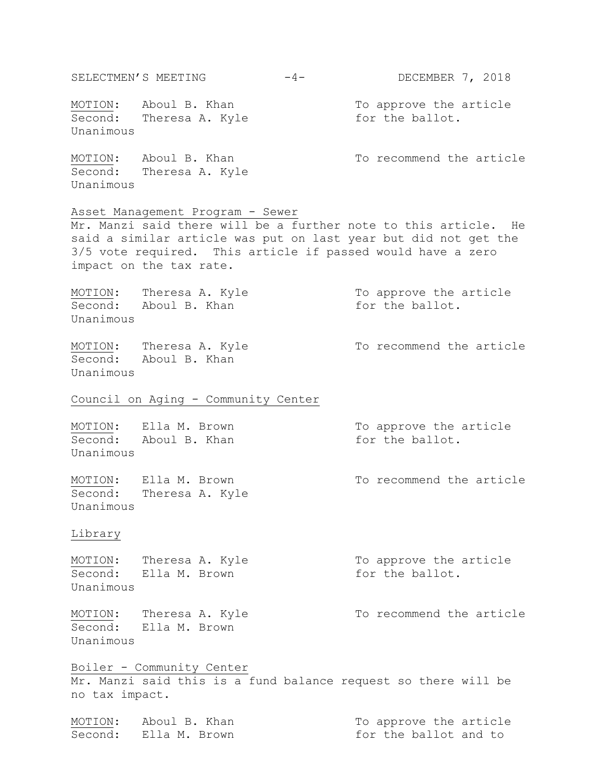SELECTMEN'S MEETING -4- DECEMBER 7, 2018 MOTION: Aboul B. Khan To approve the article  $\overline{\text{Second:}}$  Theresa A. Kyle  $\overline{\text{for the ballot.}}$ Unanimous MOTION: Aboul B. Khan To recommend the article Second: Theresa A. Kyle Unanimous Asset Management Program - Sewer Mr. Manzi said there will be a further note to this article. He said a similar article was put on last year but did not get the 3/5 vote required. This article if passed would have a zero impact on the tax rate. MOTION: Theresa A. Kyle To approve the article Second: Aboul B. Khan for the ballot. Unanimous MOTION: Theresa A. Kyle To recommend the article Second: Aboul B. Khan Unanimous Council on Aging - Community Center MOTION: Ella M. Brown To approve the article Second: Aboul B. Khan for the ballot. Unanimous MOTION: Ella M. Brown To recommend the article Second: Theresa A. Kyle Unanimous Library MOTION: Theresa A. Kyle To approve the article Second: Ella M. Brown for the ballot. Unanimous MOTION: Theresa A. Kyle To recommend the article Second: Ella M. Brown Unanimous Boiler - Community Center Mr. Manzi said this is a fund balance request so there will be no tax impact. MOTION: Aboul B. Khan To approve the article Second: Ella M. Brown for the ballot and to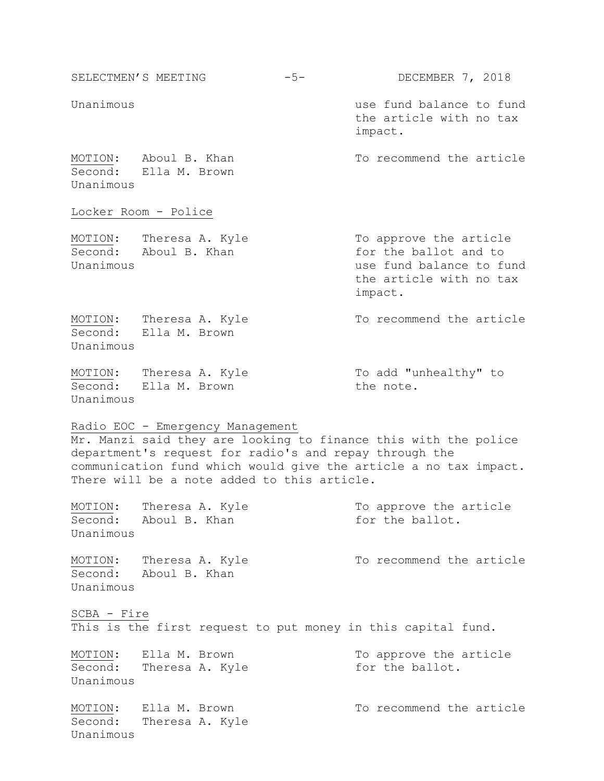| SELECTMEN'S MEETING                                                                                                                                                                                                                                                              |                                                  | $-5-$ | DECEMBER 7, 2018                                                                                                  |  |  |
|----------------------------------------------------------------------------------------------------------------------------------------------------------------------------------------------------------------------------------------------------------------------------------|--------------------------------------------------|-------|-------------------------------------------------------------------------------------------------------------------|--|--|
| Unanimous                                                                                                                                                                                                                                                                        |                                                  |       | use fund balance to fund<br>the article with no tax<br>impact.                                                    |  |  |
| Unanimous                                                                                                                                                                                                                                                                        | MOTION: Aboul B. Khan<br>Second: Ella M. Brown   |       | To recommend the article                                                                                          |  |  |
|                                                                                                                                                                                                                                                                                  | Locker Room - Police                             |       |                                                                                                                   |  |  |
| Unanimous                                                                                                                                                                                                                                                                        | MOTION: Theresa A. Kyle<br>Second: Aboul B. Khan |       | To approve the article<br>for the ballot and to<br>use fund balance to fund<br>the article with no tax<br>impact. |  |  |
| Unanimous                                                                                                                                                                                                                                                                        | MOTION: Theresa A. Kyle<br>Second: Ella M. Brown |       | To recommend the article                                                                                          |  |  |
| Unanimous                                                                                                                                                                                                                                                                        | MOTION: Theresa A. Kyle<br>Second: Ella M. Brown |       | To add "unhealthy" to<br>the note.                                                                                |  |  |
| Radio EOC - Emergency Management<br>Mr. Manzi said they are looking to finance this with the police<br>department's request for radio's and repay through the<br>communication fund which would give the article a no tax impact.<br>There will be a note added to this article. |                                                  |       |                                                                                                                   |  |  |
| MOTION:<br>Second:<br>Unanimous                                                                                                                                                                                                                                                  | Theresa A. Kyle<br>Aboul B. Khan                 |       | To approve the article<br>for the ballot.                                                                         |  |  |
| MOTION:<br>Unanimous                                                                                                                                                                                                                                                             | Theresa A. Kyle<br>Second: Aboul B. Khan         |       | To recommend the article                                                                                          |  |  |
| SCBA - Fire                                                                                                                                                                                                                                                                      |                                                  |       | This is the first request to put money in this capital fund.                                                      |  |  |
| MOTION:<br>Second:<br>Unanimous                                                                                                                                                                                                                                                  | Ella M. Brown<br>Theresa A. Kyle                 |       | To approve the article<br>for the ballot.                                                                         |  |  |
| MOTION:<br>Second:                                                                                                                                                                                                                                                               | Ella M. Brown<br>Theresa A. Kyle                 |       | To recommend the article                                                                                          |  |  |

Unanimous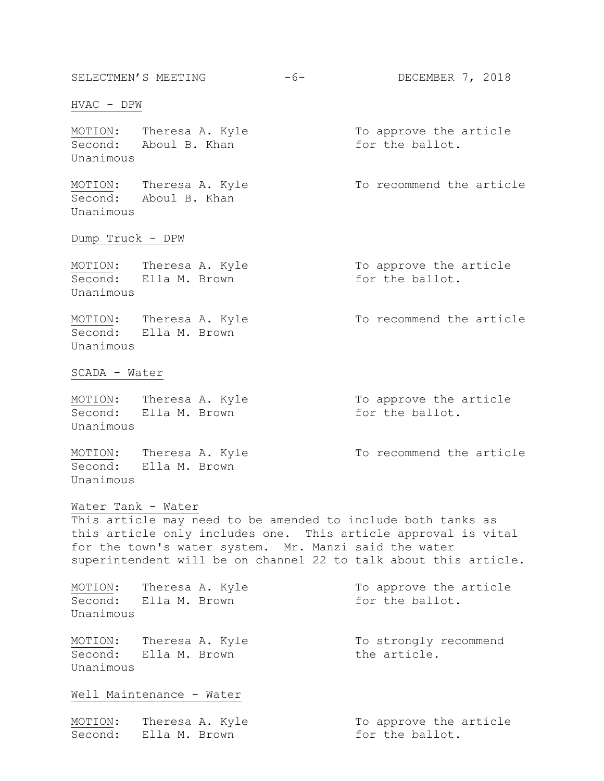SELECTMEN'S MEETING -6- DECEMBER 7, 2018 HVAC - DPW MOTION: Theresa A. Kyle To approve the article Second: Aboul B. Khan for the ballot. Unanimous MOTION: Theresa A. Kyle To recommend the article Second: Aboul B. Khan Unanimous Dump Truck - DPW MOTION: Theresa A. Kyle To approve the article Second: Ella M. Brown for the ballot. Unanimous MOTION: Theresa A. Kyle To recommend the article Second: Ella M. Brown Unanimous SCADA - Water MOTION: Theresa A. Kyle To approve the article Second: Ella M. Brown for the ballot. Unanimous MOTION: Theresa A. Kyle To recommend the article Second: Ella M. Brown Unanimous Water Tank - Water This article may need to be amended to include both tanks as this article only includes one. This article approval is vital for the town's water system. Mr. Manzi said the water superintendent will be on channel 22 to talk about this article. MOTION: Theresa A. Kyle To approve the article Second: Ella M. Brown for the ballot. Unanimous MOTION: Theresa A. Kyle To strongly recommend Second: Ella M. Brown The article. Unanimous Well Maintenance - Water MOTION: Theresa A. Kyle To approve the article Second: Ella M. Brown for the ballot.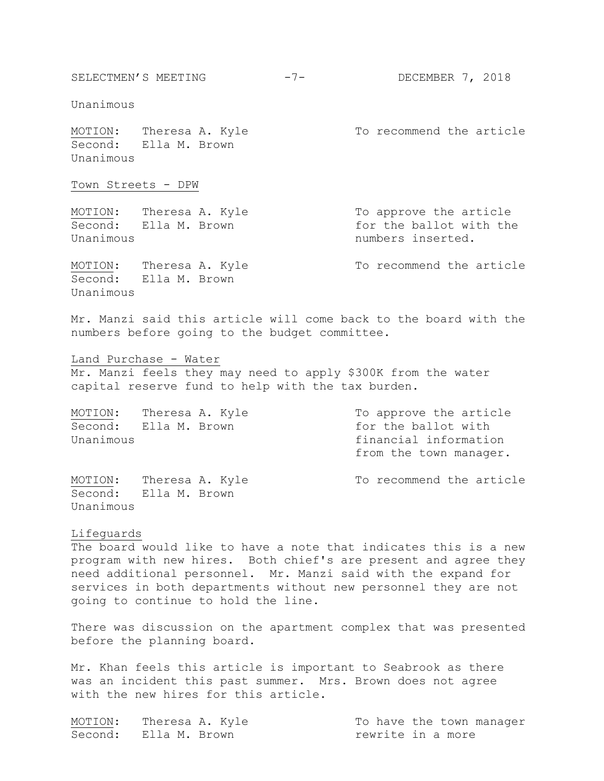Unanimous

Unanimous

MOTION: Theresa A. Kyle To recommend the article Second: Ella M. Brown Unanimous

Town Streets - DPW

MOTION: Theresa A. Kyle To approve the article Second: Ella M. Brown for the ballot with the Unanimous and the contract of the numbers inserted.

Second: Ella M. Brown

MOTION: Theresa A. Kyle To recommend the article

Mr. Manzi said this article will come back to the board with the numbers before going to the budget committee.

Land Purchase - Water Mr. Manzi feels they may need to apply \$300K from the water capital reserve fund to help with the tax burden.

MOTION: Theresa A. Kyle To approve the article Second: Ella M. Brown for the ballot with Unanimous financial information from the town manager.

MOTION: Theresa A. Kyle To recommend the article Second: Ella M. Brown Unanimous

## Lifeguards

The board would like to have a note that indicates this is a new program with new hires. Both chief's are present and agree they need additional personnel. Mr. Manzi said with the expand for services in both departments without new personnel they are not going to continue to hold the line.

There was discussion on the apartment complex that was presented before the planning board.

Mr. Khan feels this article is important to Seabrook as there was an incident this past summer. Mrs. Brown does not agree with the new hires for this article.

| MOTION: Theresa A. Kyle | To have the town manager |  |  |
|-------------------------|--------------------------|--|--|
| Second: Ella M. Brown   | rewrite in a more        |  |  |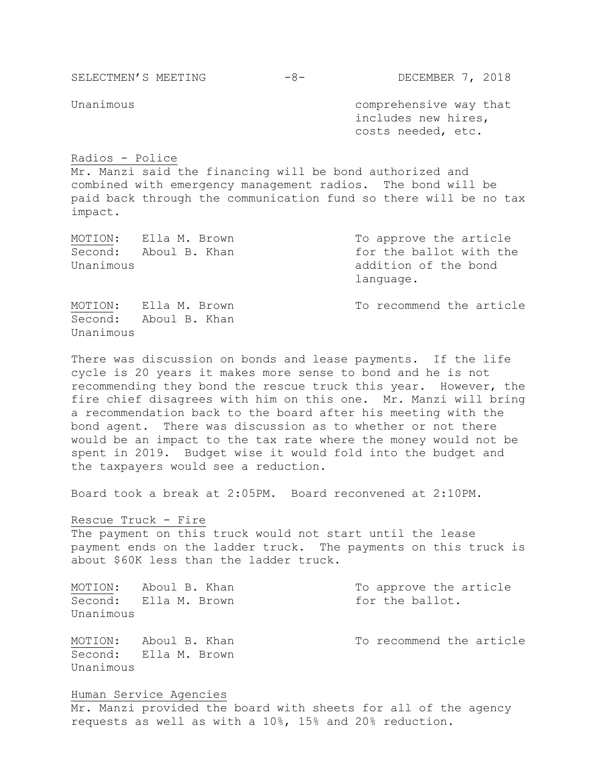SELECTMEN'S MEETING -8- DECEMBER 7, 2018

Unanimous

Unanimous **Comprehensive** way that includes new hires, costs needed, etc.

## Radios - Police

Mr. Manzi said the financing will be bond authorized and combined with emergency management radios. The bond will be paid back through the communication fund so there will be no tax impact.

| MOTION:              | Ella M. Brown         | To approve the article                                       |
|----------------------|-----------------------|--------------------------------------------------------------|
| Second:<br>Unanimous | Aboul B. Khan         | for the ballot with the<br>addition of the bond<br>language. |
|                      | MOTION: Ella M. Brown | To recommend the article                                     |

There was discussion on bonds and lease payments. If the life cycle is 20 years it makes more sense to bond and he is not recommending they bond the rescue truck this year. However, the fire chief disagrees with him on this one. Mr. Manzi will bring a recommendation back to the board after his meeting with the bond agent. There was discussion as to whether or not there would be an impact to the tax rate where the money would not be spent in 2019. Budget wise it would fold into the budget and the taxpayers would see a reduction.

Board took a break at 2:05PM. Board reconvened at 2:10PM.

Rescue Truck - Fire

Second: Aboul B. Khan

The payment on this truck would not start until the lease payment ends on the ladder truck. The payments on this truck is about \$60K less than the ladder truck.

MOTION: Aboul B. Khan To approve the article Second: Ella M. Brown for the ballot. Unanimous

Second: Ella M. Brown Unanimous

MOTION: Aboul B. Khan To recommend the article

Human Service Agencies

Mr. Manzi provided the board with sheets for all of the agency requests as well as with a 10%, 15% and 20% reduction.